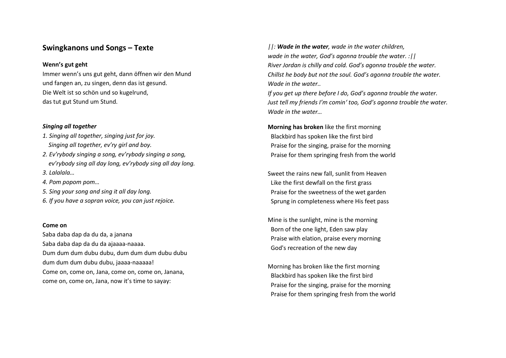# **Swingkanons und Songs – Texte**

# **Wenn's gut geht**

Immer wenn's uns gut geht, dann öffnen wir den Mundund fangen an, zu singen, denn das ist gesund. Die Welt ist so schön und so kugelrund, das tut gut Stund um Stund.

# *Singing all together*

- *1. Singing all together, singing just for joy. Singing all together, ev'ry girl and boy.*
- *2. Ev'rybody singing a song, ev'rybody singing a song, ev'rybody sing all day long, ev'rybody sing all day long. 3. Lalalala…*

*4. Pom popom pom…* 

- *5. Sing your song and sing it all day long.*
- *6. If you have a sopran voice, you can just rejoice.*

## **Come on**

Saba daba dap da du da, a janana Saba daba dap da du da ajaaaa-naaaa. Dum dum dum dubu dubu, dum dum dum dubu dubu dum dum dum dubu dubu, jaaaa-naaaaa! Come on, come on, Jana, come on, come on, Janana, come on, come on, Jana, now it's time to sayay:

*||: Wade in the water, wade in the water children, wade in the water, God's agonna trouble the water. :|| River Jordan is chilly and cold. God's agonna trouble the water. Chillst he body but not the soul. God's agonna trouble the water. Wade in the water..* 

*If you get up there before I do, God's agonna trouble the water. Just tell my friends I'm comin' too, God's agonna trouble the water. Wade in the water…*

**Morning has broken** like the first morning Blackbird has spoken like the first bird Praise for the singing, praise for the morning Praise for them springing fresh from the world

Sweet the rains new fall, sunlit from Heaven Like the first dewfall on the first grass Praise for the sweetness of the wet garden Sprung in completeness where His feet pass

Mine is the sunlight, mine is the morning Born of the one light, Eden saw play Praise with elation, praise every morning God's recreation of the new day

Morning has broken like the first morning Blackbird has spoken like the first bird Praise for the singing, praise for the morning Praise for them springing fresh from the world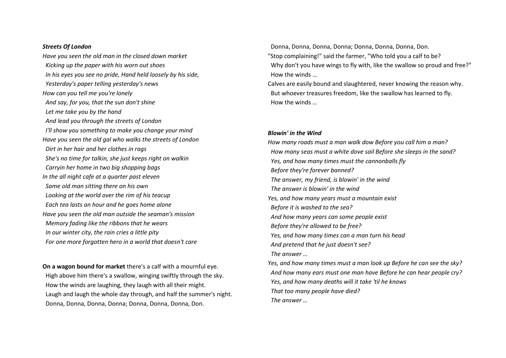## *Streets Of London*

*Have you seen the old man in the closed down market Kicking up the paper with his worn out shoes In his eyes you see no pride, Hand held loosely by his side, Yesterday′s paper telling yesterday's news How can you tell me you′re lonely And say, for you, that the sun don't shine Let me take you by the hand And lead you through the streets of London I'll show you something to make you change your mind Have you seen the old gal who walks the streets of London Dirt in her hair and her clothes in rags She′s no time for talkin, she just keeps right on walkin Carryin her home in two big shopping bags In the all night cafe at a quarter past eleven Same old man sitting there on his own Looking at the world over the rim of his teacup Each tea lasts an hour and he goes home alone Have you seen the old man outside the seaman′s mission Memory fading like the ribbons that he wears In our winter city, the rain cries a little pity For one more forgotten hero in a world that doesn't care* 

**On a wagon bound for market** there's a calf with a mournful eye. High above him there's a swallow, winging swiftly through the sky. How the winds are laughing, they laugh with all their might. Laugh and laugh the whole day through, and half the summer's night. Donna, Donna, Donna, Donna; Donna, Donna, Donna, Don.

 Donna, Donna, Donna, Donna; Donna, Donna, Donna, Don. "Stop complaining!" said the farmer, "Who told you a calf to be? Why don't you have wings to fly with, like the swallow so proud and free?" How the winds …

Calves are easily bound and slaughtered, never knowing the reason why. But whoever treasures freedom, like the swallow has learned to fly. How the winds …

### *Blowin' in the Wind*

 *How many roads must a man walk dow Before you call him a man? How many seas must a white dove sail Before she sleeps in the sand? Yes, and how many times must the cannonballs fly Before they′re forever banned? The answer, my friend, is blowin' in the wind The answer is blowin′ in the wind Yes, and how many years must a mountain exist Before it is washed to the sea? And how many years can some people exist Before they're allowed to be free? Yes, and how many times can a man turn his head And pretend that he just doesn't see? The answer … Yes, and how many times must a man look up Before he can see the sky? And how many ears must one man have Before he can hear people cry? Yes, and how many deaths will it take 'til he knows That too many people have died?* 

 *The answer …*